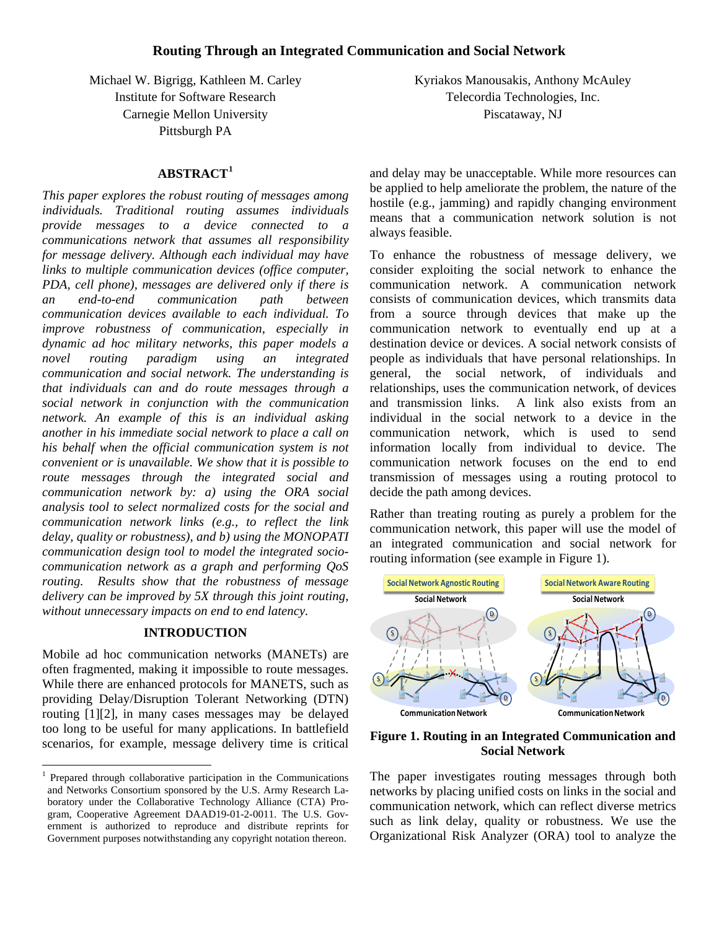## **Routing Through an Integrated Communication and Social Network**

Michael W. Bigrigg, Kathleen M. Carley Institute for Software Research Carnegie Mellon University Pittsburgh PA

# **ABSTRACT[1](#page-0-0)**

*This paper explores the robust routing of messages among individuals. Traditional routing assumes individuals provide messages to a device connected to a communications network that assumes all responsibility for message delivery. Although each individual may have links to multiple communication devices (office computer, PDA, cell phone), messages are delivered only if there is an end-to-end communication path between communication devices available to each individual. To improve robustness of communication, especially in dynamic ad hoc military networks, this paper models a novel routing paradigm using an integrated communication and social network. The understanding is that individuals can and do route messages through a social network in conjunction with the communication network. An example of this is an individual asking another in his immediate social network to place a call on his behalf when the official communication system is not convenient or is unavailable. We show that it is possible to route messages through the integrated social and communication network by: a) using the ORA social analysis tool to select normalized costs for the social and communication network links (e.g., to reflect the link delay, quality or robustness), and b) using the MONOPATI communication design tool to model the integrated sociocommunication network as a graph and performing QoS routing. Results show that the robustness of message delivery can be improved by 5X through this joint routing, without unnecessary impacts on end to end latency.*

## **INTRODUCTION**

Mobile ad hoc communication networks (MANETs) are often fragmented, making it impossible to route messages. While there are enhanced protocols for MANETS, such as providing Delay/Disruption Tolerant Networking (DTN) routing [\[1\]\[2\],](#page--1-0) in many cases messages may be delayed too long to be useful for many applications. In battlefield scenarios, for example, message delivery time is critical

 $\overline{a}$ 

Kyriakos Manousakis, Anthony McAuley Telecordia Technologies, Inc. Piscataway, NJ

and delay may be unacceptable. While more resources can be applied to help ameliorate the problem, the nature of the hostile (e.g., jamming) and rapidly changing environment means that a communication network solution is not always feasible.

To enhance the robustness of message delivery, we consider exploiting the social network to enhance the communication network. A communication network consists of communication devices, which transmits data from a source through devices that make up the communication network to eventually end up at a destination device or devices. A social network consists of people as individuals that have personal relationships. In general, the social network, of individuals and relationships, uses the communication network, of devices and transmission links. A link also exists from an individual in the social network to a device in the communication network, which is used to send information locally from individual to device. The communication network focuses on the end to end transmission of messages using a routing protocol to decide the path among devices.

Rather than treating routing as purely a problem for the communication network, this paper will use the model of an integrated communication and social network for routing information (see example in Figure 1).



#### **Figure 1. Routing in an Integrated Communication and Social Network**

The paper investigates routing messages through both networks by placing unified costs on links in the social and communication network, which can reflect diverse metrics such as link delay, quality or robustness. We use the Organizational Risk Analyzer (ORA) tool to analyze the

<span id="page-0-0"></span> $1$  Prepared through collaborative participation in the Communications and Networks Consortium sponsored by the U.S. Army Research Laboratory under the Collaborative Technology Alliance (CTA) Program, Cooperative Agreement DAAD19-01-2-0011. The U.S. Government is authorized to reproduce and distribute reprints for Government purposes notwithstanding any copyright notation thereon.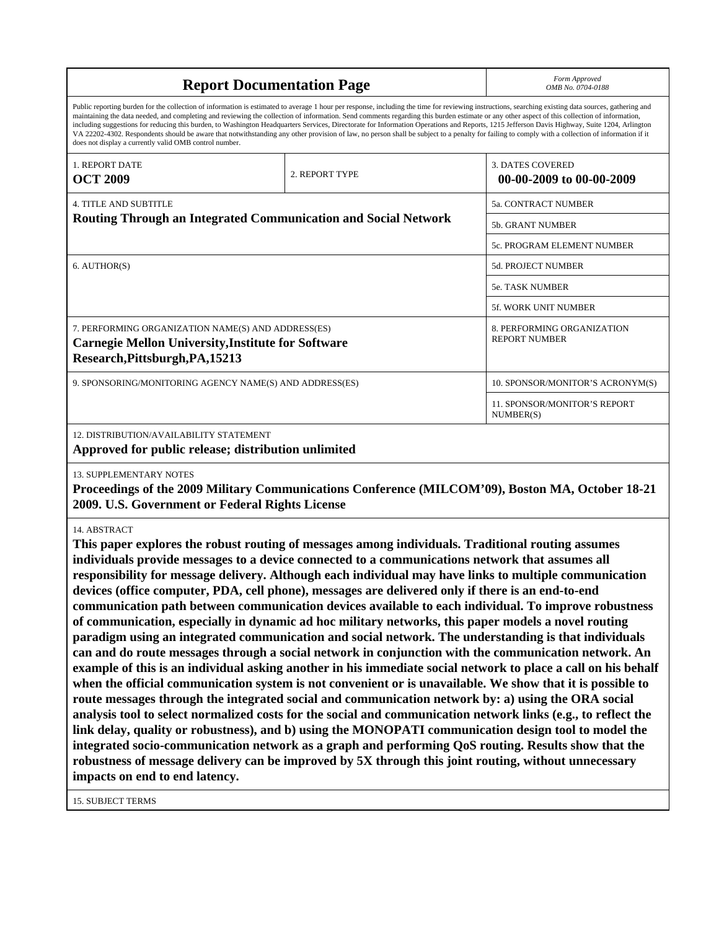| <b>Report Documentation Page</b>                                                                                                                                                                                                                                                                                                                                                                                                                                                                                                                                                                                                                                                                                                                                                                                                                                   | Form Approved<br>OMB No. 0704-0188                 |                                                     |  |  |  |
|--------------------------------------------------------------------------------------------------------------------------------------------------------------------------------------------------------------------------------------------------------------------------------------------------------------------------------------------------------------------------------------------------------------------------------------------------------------------------------------------------------------------------------------------------------------------------------------------------------------------------------------------------------------------------------------------------------------------------------------------------------------------------------------------------------------------------------------------------------------------|----------------------------------------------------|-----------------------------------------------------|--|--|--|
| Public reporting burden for the collection of information is estimated to average 1 hour per response, including the time for reviewing instructions, searching existing data sources, gathering and<br>maintaining the data needed, and completing and reviewing the collection of information. Send comments regarding this burden estimate or any other aspect of this collection of information,<br>including suggestions for reducing this burden, to Washington Headquarters Services, Directorate for Information Operations and Reports, 1215 Jefferson Davis Highway, Suite 1204, Arlington<br>VA 22202-4302. Respondents should be aware that notwithstanding any other provision of law, no person shall be subject to a penalty for failing to comply with a collection of information if it<br>does not display a currently valid OMB control number. |                                                    |                                                     |  |  |  |
| <b>1. REPORT DATE</b><br><b>OCT 2009</b>                                                                                                                                                                                                                                                                                                                                                                                                                                                                                                                                                                                                                                                                                                                                                                                                                           | 2. REPORT TYPE                                     | <b>3. DATES COVERED</b><br>00-00-2009 to 00-00-2009 |  |  |  |
| <b>4. TITLE AND SUBTITLE</b><br>Routing Through an Integrated Communication and Social Network                                                                                                                                                                                                                                                                                                                                                                                                                                                                                                                                                                                                                                                                                                                                                                     |                                                    | 5a. CONTRACT NUMBER                                 |  |  |  |
|                                                                                                                                                                                                                                                                                                                                                                                                                                                                                                                                                                                                                                                                                                                                                                                                                                                                    |                                                    | 5b. GRANT NUMBER                                    |  |  |  |
|                                                                                                                                                                                                                                                                                                                                                                                                                                                                                                                                                                                                                                                                                                                                                                                                                                                                    |                                                    | 5c. PROGRAM ELEMENT NUMBER                          |  |  |  |
| 6. AUTHOR(S)                                                                                                                                                                                                                                                                                                                                                                                                                                                                                                                                                                                                                                                                                                                                                                                                                                                       |                                                    | 5d. PROJECT NUMBER                                  |  |  |  |
|                                                                                                                                                                                                                                                                                                                                                                                                                                                                                                                                                                                                                                                                                                                                                                                                                                                                    |                                                    | 5e. TASK NUMBER                                     |  |  |  |
|                                                                                                                                                                                                                                                                                                                                                                                                                                                                                                                                                                                                                                                                                                                                                                                                                                                                    | <b>5f. WORK UNIT NUMBER</b>                        |                                                     |  |  |  |
| 7. PERFORMING ORGANIZATION NAME(S) AND ADDRESS(ES)<br><b>Carnegie Mellon University, Institute for Software</b><br>Research, Pittsburgh, PA, 15213                                                                                                                                                                                                                                                                                                                                                                                                                                                                                                                                                                                                                                                                                                                 | 8. PERFORMING ORGANIZATION<br><b>REPORT NUMBER</b> |                                                     |  |  |  |
| 9. SPONSORING/MONITORING AGENCY NAME(S) AND ADDRESS(ES)                                                                                                                                                                                                                                                                                                                                                                                                                                                                                                                                                                                                                                                                                                                                                                                                            |                                                    | 10. SPONSOR/MONITOR'S ACRONYM(S)                    |  |  |  |
|                                                                                                                                                                                                                                                                                                                                                                                                                                                                                                                                                                                                                                                                                                                                                                                                                                                                    | 11. SPONSOR/MONITOR'S REPORT<br>NUMBER(S)          |                                                     |  |  |  |
| 12. DISTRIBUTION/AVAILABILITY STATEMENT<br>Approved for public release; distribution unlimited                                                                                                                                                                                                                                                                                                                                                                                                                                                                                                                                                                                                                                                                                                                                                                     |                                                    |                                                     |  |  |  |
| 13. SUPPLEMENTARY NOTES<br>Proceedings of the 2009 Military Communications Conference (MILCOM'09), Boston MA, October 18-21<br>2009. U.S. Government or Federal Rights License                                                                                                                                                                                                                                                                                                                                                                                                                                                                                                                                                                                                                                                                                     |                                                    |                                                     |  |  |  |
| 14. ABSTRACT<br>This paper explores the robust routing of messages among individuals. Traditional routing assumes<br>individuals provide messages to a device connected to a communications network that assumes all<br>responsibility for message delivery. Although each individual may have links to multiple communication                                                                                                                                                                                                                                                                                                                                                                                                                                                                                                                                     |                                                    |                                                     |  |  |  |

**devices (office computer, PDA, cell phone), messages are delivered only if there is an end-to-end communication path between communication devices available to each individual. To improve robustness of communication, especially in dynamic ad hoc military networks, this paper models a novel routing paradigm using an integrated communication and social network. The understanding is that individuals can and do route messages through a social network in conjunction with the communication network. An example of this is an individual asking another in his immediate social network to place a call on his behalf when the official communication system is not convenient or is unavailable. We show that it is possible to route messages through the integrated social and communication network by: a) using the ORA social analysis tool to select normalized costs for the social and communication network links (e.g., to reflect the link delay, quality or robustness), and b) using the MONOPATI communication design tool to model the integrated socio-communication network as a graph and performing QoS routing. Results show that the robustness of message delivery can be improved by 5X through this joint routing, without unnecessary impacts on end to end latency.**

15. SUBJECT TERMS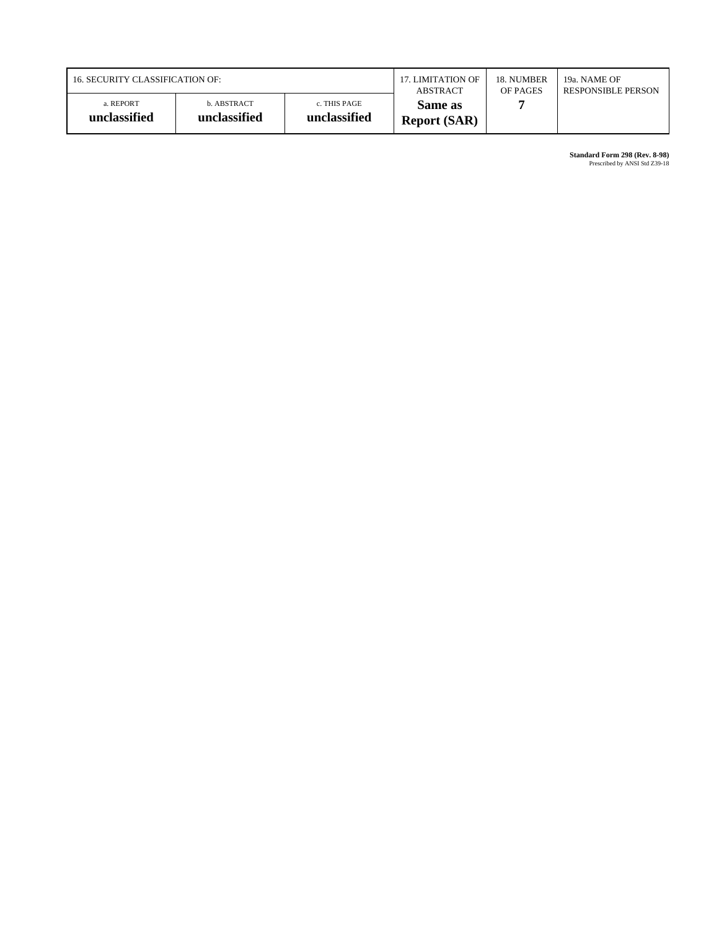| 16. SECURITY CLASSIFICATION OF: |                             |                              | 17. LIMITATION OF              | 18. NUMBER | 19a. NAME OF              |
|---------------------------------|-----------------------------|------------------------------|--------------------------------|------------|---------------------------|
|                                 |                             |                              | <b>ABSTRACT</b>                | OF PAGES   | <b>RESPONSIBLE PERSON</b> |
| a. REPORT<br>unclassified       | b. ABSTRACT<br>unclassified | c. THIS PAGE<br>unclassified | Same as<br><b>Report (SAR)</b> |            |                           |

**Standard Form 298 (Rev. 8-98)**<br>Prescribed by ANSI Std Z39-18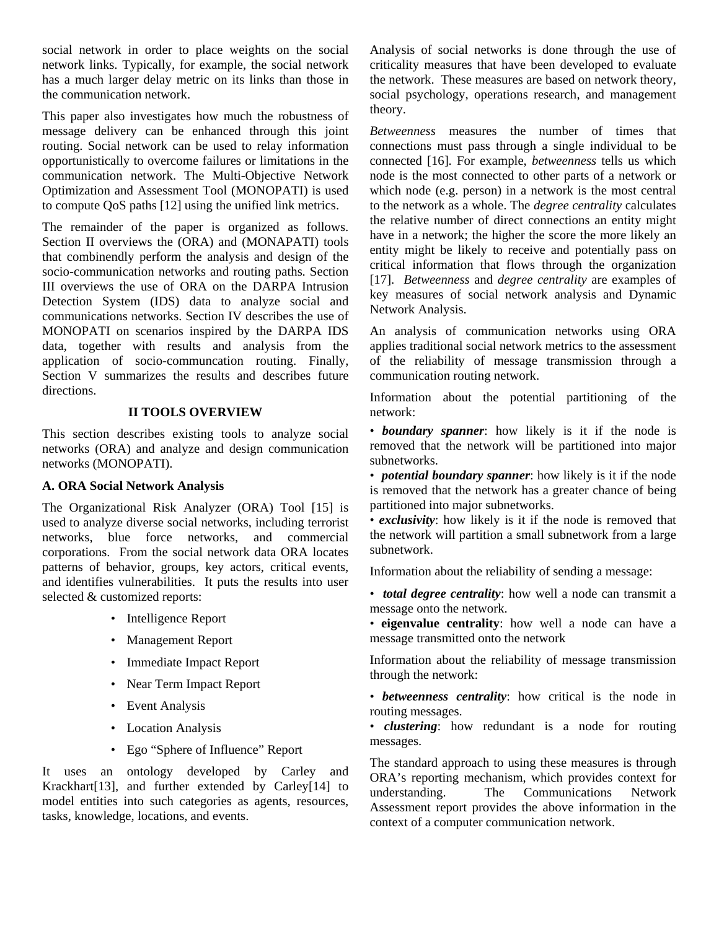social network in order to place weights on the social network links. Typically, for example, the social network has a much larger delay metric on its links than those in the communication network.

This paper also investigates how much the robustness of message delivery can be enhanced through this joint routing. Social network can be used to relay information opportunistically to overcome failures or limitations in the communication network. The Multi-Objective Network Optimization and Assessment Tool (MONOPATI) is used to compute QoS paths [12] using the unified link metrics.

The remainder of the paper is organized as follows. Section II overviews the (ORA) and (MONAPATI) tools that combinendly perform the analysis and design of the socio-communication networks and routing paths. Section III overviews the use of ORA on the DARPA Intrusion Detection System (IDS) data to analyze social and communications networks. Section IV describes the use of MONOPATI on scenarios inspired by the DARPA IDS data, together with results and analysis from the application of socio-communcation routing. Finally, Section V summarizes the results and describes future directions.

#### **II TOOLS OVERVIEW**

This section describes existing tools to analyze social networks (ORA) and analyze and design communication networks (MONOPATI).

#### **A. ORA Social Network Analysis**

The Organizational Risk Analyzer (ORA) Tool [15] is used to analyze diverse social networks, including terrorist networks, blue force networks, and commercial corporations. From the social network data ORA locates patterns of behavior, groups, key actors, critical events, and identifies vulnerabilities. It puts the results into user selected & customized reports:

- Intelligence Report
- Management Report
- Immediate Impact Report
- Near Term Impact Report
- Event Analysis
- Location Analysis
- Ego "Sphere of Influence" Report

It uses an ontology developed by Carley and Krackhart[13], and further extended by Carley[14] to model entities into such categories as agents, resources, tasks, knowledge, locations, and events.

Analysis of social networks is done through the use of criticality measures that have been developed to evaluate the network. These measures are based on network theory, social psychology, operations research, and management theory.

*Betweenness* measures the number of times that connections must pass through a single individual to be connected [16]. For example, *betweenness* tells us which node is the most connected to other parts of a network or which node (e.g. person) in a network is the most central to the network as a whole. The *degree centrality* calculates the relative number of direct connections an entity might have in a network; the higher the score the more likely an entity might be likely to receive and potentially pass on critical information that flows through the organization [17]. *Betweenness* and *degree centrality* are examples of key measures of social network analysis and Dynamic Network Analysis.

An analysis of communication networks using ORA applies traditional social network metrics to the assessment of the reliability of message transmission through a communication routing network.

Information about the potential partitioning of the network:

• *boundary spanner*: how likely is it if the node is removed that the network will be partitioned into major subnetworks.

• *potential boundary spanner*: how likely is it if the node is removed that the network has a greater chance of being partitioned into major subnetworks.

• *exclusivity*: how likely is it if the node is removed that the network will partition a small subnetwork from a large subnetwork.

Information about the reliability of sending a message:

• *total degree centrality*: how well a node can transmit a message onto the network.

• **eigenvalue centrality**: how well a node can have a message transmitted onto the network

Information about the reliability of message transmission through the network:

• *betweenness centrality*: how critical is the node in routing messages.

• *clustering*: how redundant is a node for routing messages.

The standard approach to using these measures is through ORA's reporting mechanism, which provides context for understanding. The Communications Network Assessment report provides the above information in the context of a computer communication network.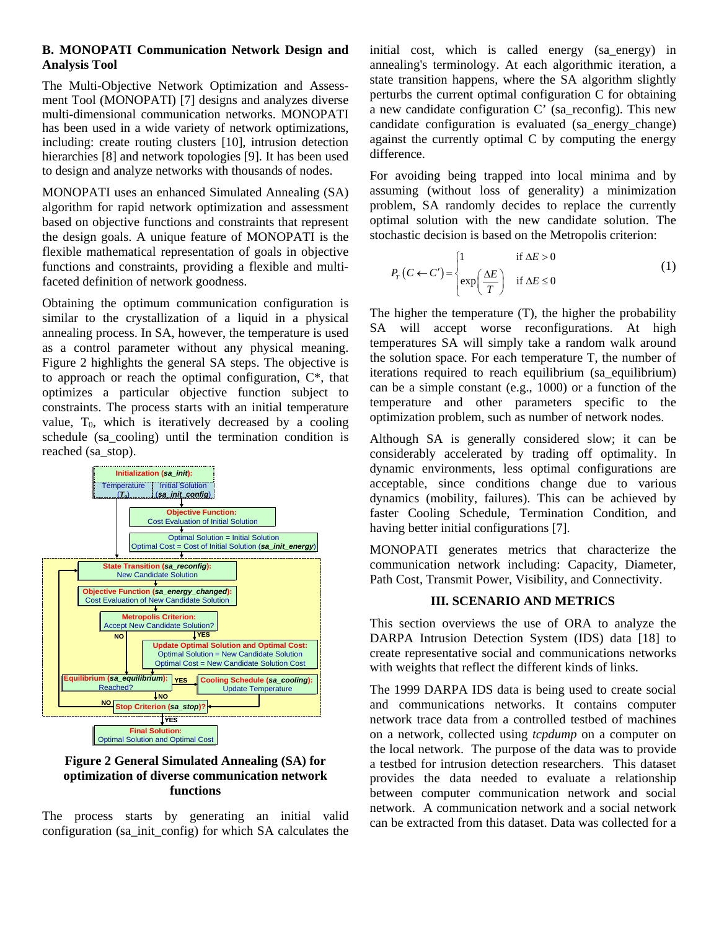## **B. MONOPATI Communication Network Design and Analysis Tool**

The Multi-Objective Network Optimization and Assessment Tool (MONOPATI) [\[7\]](#page-8-0) designs and analyzes diverse multi-dimensional communication networks. MONOPATI has been used in a wide variety of network optimizations, including: create routing clusters [\[10\],](#page-8-1) intrusion detection hierarchies [\[8\]](#page-8-2) and network topologies [\[9\].](#page-8-3) It has been used to design and analyze networks with thousands of nodes.

MONOPATI uses an enhanced Simulated Annealing (SA) algorithm for rapid network optimization and assessment based on objective functions and constraints that represent the design goals. A unique feature of MONOPATI is the flexible mathematical representation of goals in objective functions and constraints, providing a flexible and multifaceted definition of network goodness.

Obtaining the optimum communication configuration is similar to the crystallization of a liquid in a physical annealing process. In SA, however, the temperature is used as a control parameter without any physical meaning. Figure 2 highlights the general SA steps. The objective is to approach or reach the optimal configuration,  $C^*$ , that optimizes a particular objective function subject to constraints. The process starts with an initial temperature value,  $T_0$ , which is iteratively decreased by a cooling schedule (sa\_cooling) until the termination condition is reached (sa\_stop).



## **Figure 2 General Simulated Annealing (SA) for optimization of diverse communication network functions**

The process starts by generating an initial valid configuration (sa\_init\_config) for which SA calculates the initial cost, which is called energy (sa\_energy) in annealing's terminology. At each algorithmic iteration, a state transition happens, where the SA algorithm slightly perturbs the current optimal configuration C for obtaining a new candidate configuration C' (sa\_reconfig). This new candidate configuration is evaluated (sa\_energy\_change) against the currently optimal C by computing the energy difference.

For avoiding being trapped into local minima and by assuming (without loss of generality) a minimization problem, SA randomly decides to replace the currently optimal solution with the new candidate solution. The stochastic decision is based on the Metropolis criterion:

$$
P_{T}(C \leftarrow C') = \begin{cases} 1 & \text{if } \Delta E > 0 \\ \exp\left(\frac{\Delta E}{T}\right) & \text{if } \Delta E \le 0 \end{cases}
$$
 (1)

The higher the temperature (T), the higher the probability SA will accept worse reconfigurations. At high temperatures SA will simply take a random walk around the solution space. For each temperature T, the number of iterations required to reach equilibrium (sa\_equilibrium) can be a simple constant (e.g., 1000) or a function of the temperature and other parameters specific to the optimization problem, such as number of network nodes.

Although SA is generally considered slow; it can be considerably accelerated by trading off optimality. In dynamic environments, less optimal configurations are acceptable, since conditions change due to various dynamics (mobility, failures). This can be achieved by faster Cooling Schedule, Termination Condition, and having better initial configurations [\[7\].](#page-8-0)

MONOPATI generates metrics that characterize the communication network including: Capacity, Diameter, Path Cost, Transmit Power, Visibility, and Connectivity.

# **III. SCENARIO AND METRICS**

This section overviews the use of ORA to analyze the DARPA Intrusion Detection System (IDS) data [18] to create representative social and communications networks with weights that reflect the different kinds of links.

The 1999 DARPA IDS data is being used to create social and communications networks. It contains computer network trace data from a controlled testbed of machines on a network, collected using *tcpdump* on a computer on the local network. The purpose of the data was to provide a testbed for intrusion detection researchers. This dataset provides the data needed to evaluate a relationship between computer communication network and social network. A communication network and a social network can be extracted from this dataset. Data was collected for a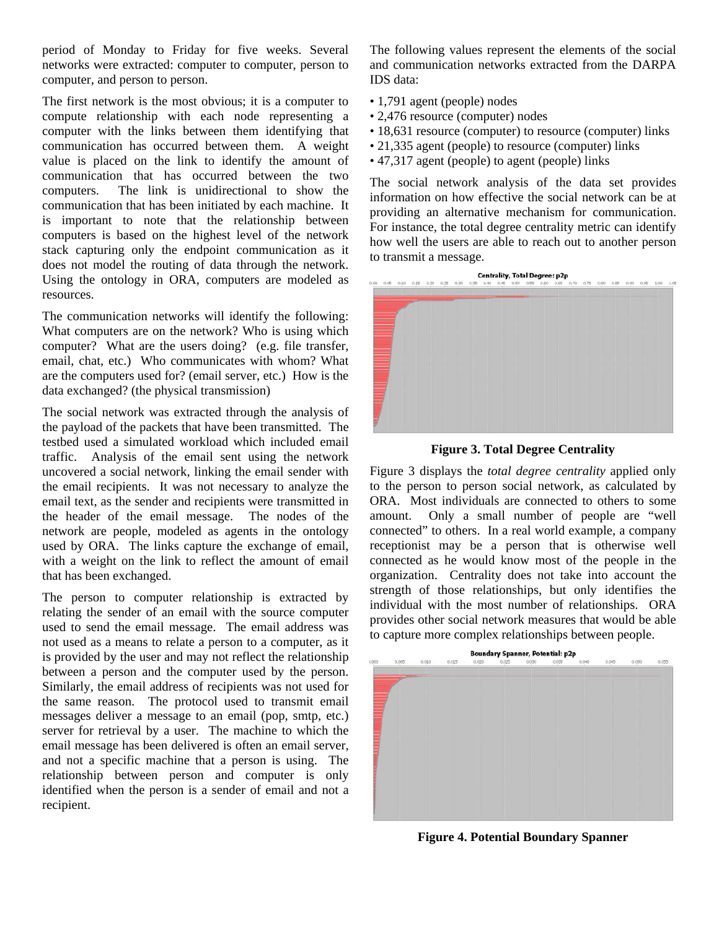period of Monday to Friday for five weeks. Several networks were extracted: computer to computer, person to computer, and person to person.

The first network is the most obvious; it is a computer to compute relationship with each node representing a computer with the links between them identifying that communication has occurred between them. A weight value is placed on the link to identify the amount of communication that has occurred between the two computers. The link is unidirectional to show the communication that has been initiated by each machine. It is important to note that the relationship between computers is based on the highest level of the network stack capturing only the endpoint communication as it does not model the routing of data through the network. Using the ontology in ORA, computers are modeled as resources.

The communication networks will identify the following: What computers are on the network? Who is using which computer? What are the users doing? (e.g. file transfer, email, chat, etc.) Who communicates with whom? What are the computers used for? (email server, etc.) How is the data exchanged? (the physical transmission)

The social network was extracted through the analysis of the payload of the packets that have been transmitted. The testbed used a simulated workload which included email traffic. Analysis of the email sent using the network uncovered a social network, linking the email sender with the email recipients. It was not necessary to analyze the email text, as the sender and recipients were transmitted in the header of the email message. The nodes of the network are people, modeled as agents in the ontology used by ORA. The links capture the exchange of email, with a weight on the link to reflect the amount of email that has been exchanged.

The person to computer relationship is extracted by relating the sender of an email with the source computer used to send the email message. The email address was not used as a means to relate a person to a computer, as it is provided by the user and may not reflect the relationship between a person and the computer used by the person. Similarly, the email address of recipients was not used for the same reason. The protocol used to transmit email messages deliver a message to an email (pop, smtp, etc.) server for retrieval by a user. The machine to which the email message has been delivered is often an email server, and not a specific machine that a person is using. The relationship between person and computer is only identified when the person is a sender of email and not a recipient.

The following values represent the elements of the social and communication networks extracted from the DARPA IDS data:

- 1,791 agent (people) nodes
- 2,476 resource (computer) nodes
- 18,631 resource (computer) to resource (computer) links
- 21,335 agent (people) to resource (computer) links
- 47,317 agent (people) to agent (people) links

The social network analysis of the data set provides information on how effective the social network can be at providing an alternative mechanism for communication. For instance, the total degree centrality metric can identify how well the users are able to reach out to another person to transmit a message.





Figure 3 displays the *total degree centrality* applied only to the person to person social network, as calculated by ORA. Most individuals are connected to others to some amount. Only a small number of people are "well connected" to others. In a real world example, a company receptionist may be a person that is otherwise well connected as he would know most of the people in the organization. Centrality does not take into account the strength of those relationships, but only identifies the individual with the most number of relationships. ORA provides other social network measures that would be able



**Figure 4. Potential Boundary Spanner**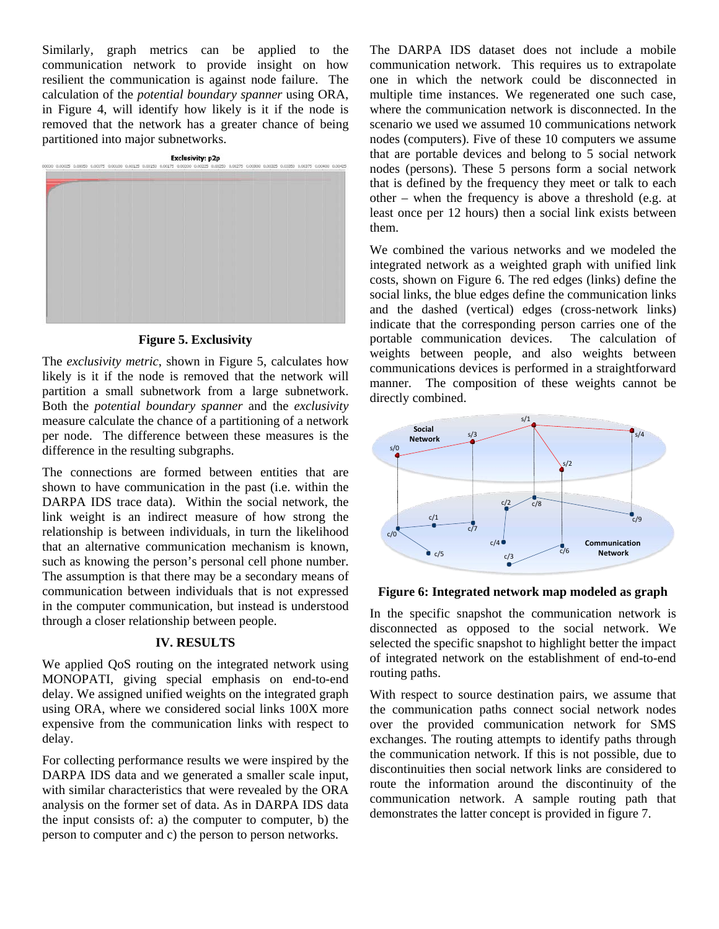Similarly, graph metrics can be applied to the communication network to provide insight on how resilient the communication is against node failure. The calculation of the *potential boundary spanner* using ORA, in Figure 4, will identify how likely is it if the node is removed that the network has a greater chance of being partitioned into major subnetworks.

**Exclusivity: p2p** 00000 0.00025 0.00050 0.00075 0.00100 0.00125 0.00150 0.00175

**Figure 5. Exclusivity**

The *exclusivity metric*, shown in Figure 5, calculates how likely is it if the node is removed that the network will partition a small subnetwork from a large subnetwork. Both the *potential boundary spanner* and the *exclusivity* measure calculate the chance of a partitioning of a network per node. The difference between these measures is the difference in the resulting subgraphs.

The connections are formed between entities that are shown to have communication in the past (i.e. within the DARPA IDS trace data). Within the social network, the link weight is an indirect measure of how strong the relationship is between individuals, in turn the likelihood that an alternative communication mechanism is known, such as knowing the person's personal cell phone number. The assumption is that there may be a secondary means of communication between individuals that is not expressed in the computer communication, but instead is understood through a closer relationship between people.

## **IV. RESULTS**

We applied QoS routing on the integrated network using MONOPATI, giving special emphasis on end-to-end delay. We assigned unified weights on the integrated graph using ORA, where we considered social links 100X more expensive from the communication links with respect to delay.

For collecting performance results we were inspired by the DARPA IDS data and we generated a smaller scale input, with similar characteristics that were revealed by the ORA analysis on the former set of data. As in DARPA IDS data the input consists of: a) the computer to computer, b) the person to computer and c) the person to person networks.

The DARPA IDS dataset does not include a mobile communication network. This requires us to extrapolate one in which the network could be disconnected in multiple time instances. We regenerated one such case, where the communication network is disconnected. In the scenario we used we assumed 10 communications network nodes (computers). Five of these 10 computers we assume that are portable devices and belong to 5 social network nodes (persons). These 5 persons form a social network that is defined by the frequency they meet or talk to each other – when the frequency is above a threshold (e.g. at least once per 12 hours) then a social link exists between them.

We combined the various networks and we modeled the integrated network as a weighted graph with unified link costs, shown on Figure 6. The red edges (links) define the social links, the blue edges define the communication links and the dashed (vertical) edges (cross-network links) indicate that the corresponding person carries one of the portable communication devices. The calculation of weights between people, and also weights between communications devices is performed in a straightforward manner. The composition of these weights cannot be directly combined.





In the specific snapshot the communication network is disconnected as opposed to the social network. We selected the specific snapshot to highlight better the impact of integrated network on the establishment of end-to-end routing paths.

With respect to source destination pairs, we assume that the communication paths connect social network nodes over the provided communication network for SMS exchanges. The routing attempts to identify paths through the communication network. If this is not possible, due to discontinuities then social network links are considered to route the information around the discontinuity of the communication network. A sample routing path that demonstrates the latter concept is provided in figure 7.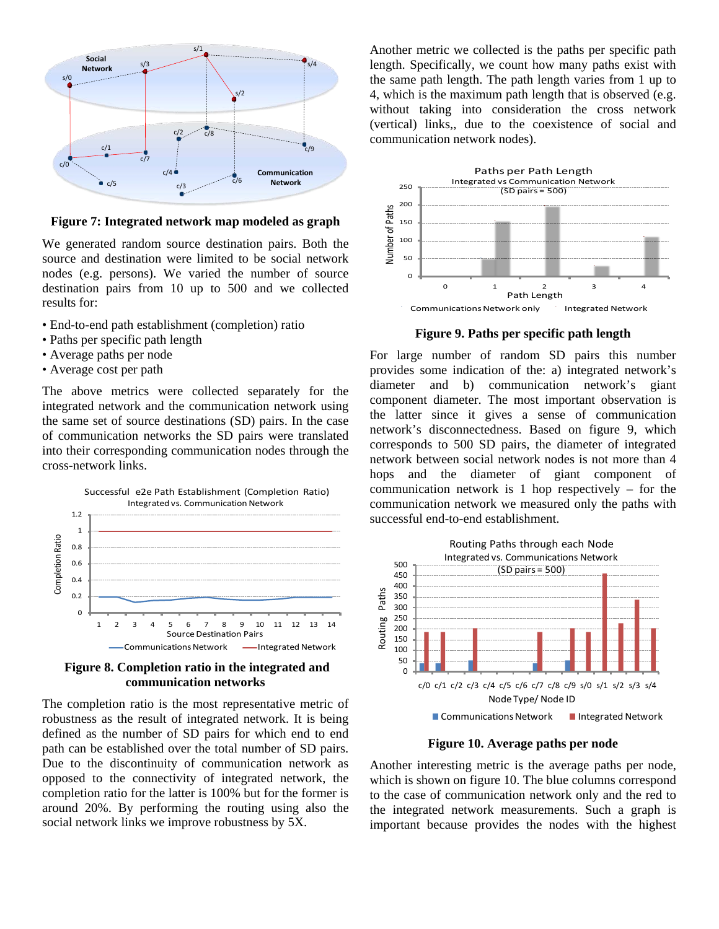

**Figure 7: Integrated network map modeled as graph**

We generated random source destination pairs. Both the source and destination were limited to be social network nodes (e.g. persons). We varied the number of source destination pairs from 10 up to 500 and we collected results for:

- End-to-end path establishment (completion) ratio
- Paths per specific path length
- Average paths per node
- Average cost per path

The above metrics were collected separately for the integrated network and the communication network using the same set of source destinations (SD) pairs. In the case of communication networks the SD pairs were translated into their corresponding communication nodes through the cross-network links.





The completion ratio is the most representative metric of robustness as the result of integrated network. It is being defined as the number of SD pairs for which end to end path can be established over the total number of SD pairs. Due to the discontinuity of communication network as opposed to the connectivity of integrated network, the completion ratio for the latter is 100% but for the former is around 20%. By performing the routing using also the social network links we improve robustness by 5X.

Another metric we collected is the paths per specific path length. Specifically, we count how many paths exist with the same path length. The path length varies from 1 up to 4, which is the maximum path length that is observed (e.g. without taking into consideration the cross network (vertical) links,, due to the coexistence of social and communication network nodes).



**Figure 9. Paths per specific path length**

For large number of random SD pairs this number provides some indication of the: a) integrated network's diameter and b) communication network's giant component diameter. The most important observation is the latter since it gives a sense of communication network's disconnectedness. Based on figure 9, which corresponds to 500 SD pairs, the diameter of integrated network between social network nodes is not more than 4 hops and the diameter of giant component of communication network is 1 hop respectively – for the communication network we measured only the paths with successful end-to-end establishment.



**Figure 10. Average paths per node**

Another interesting metric is the average paths per node, which is shown on figure 10. The blue columns correspond to the case of communication network only and the red to the integrated network measurements. Such a graph is important because provides the nodes with the highest